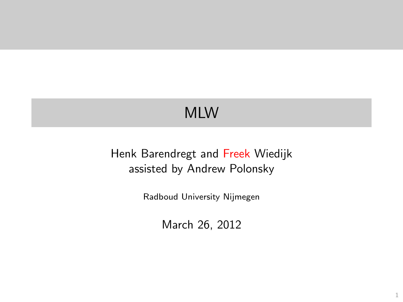# MLW

#### <span id="page-0-0"></span>Henk Barendregt and Freek Wiedijk assisted by Andrew Polonsky

Radboud University Nijmegen

March 26, 2012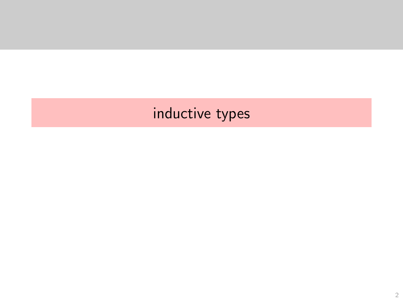# <span id="page-1-0"></span>inductive types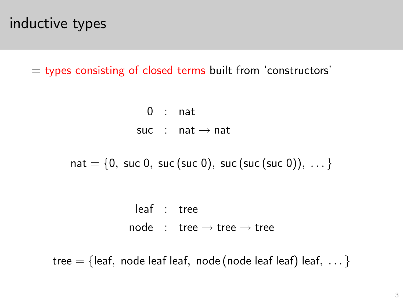#### inductive types

 $=$  types consisting of closed terms built from 'constructors'

 $0$  : nat suc : nat  $\rightarrow$  nat

 $nat = \{0, succ 0, succ (succ 0), succ (succ (succ 0)), ... \}$ 

leaf : tree  $node : tree \rightarrow tree \rightarrow tree$ 

<span id="page-2-0"></span>tree  $=$  {leaf, node leaf leaf, node (node leaf leaf) leaf, ... }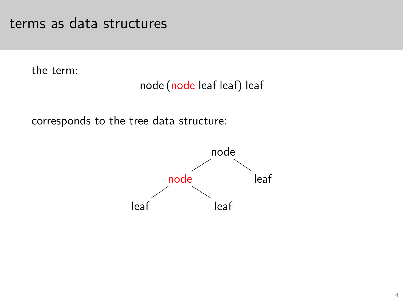#### terms as data structures

the term:

#### node (node leaf leaf) leaf

<span id="page-3-0"></span>corresponds to the tree data structure:

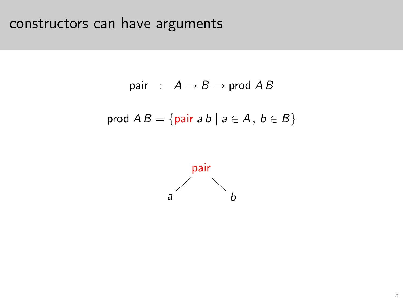# constructors can have arguments

pair : 
$$
A \rightarrow B \rightarrow \text{prod } AB
$$
  
prod  $AB = \{\text{pair } ab \mid a \in A, b \in B\}$ 

<span id="page-4-0"></span>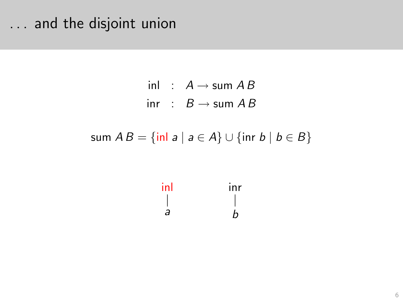#### ... and the disjoint union

inl :  $A \rightarrow$  sum  $AB$ inr :  $B \rightarrow$  sum A B

<span id="page-5-0"></span>sum  $AB = \{ \text{inl } a \mid a \in A \} \cup \{ \text{inr } b \mid b \in B \}$ 

$$
\begin{array}{ccc}\n\mathsf{inl} & & \mathsf{inr} \\
\mid & & \mid \\
a & & b\n\end{array}
$$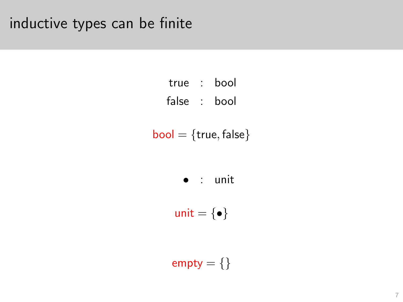### inductive types can be finite

| true  | bool |
|-------|------|
| false | bool |

$$
\mathsf{bool} = \{\mathsf{true},\mathsf{false}\}
$$

• : unit

unit =  $\{ \bullet \}$ 

<span id="page-6-0"></span> $empty = \}$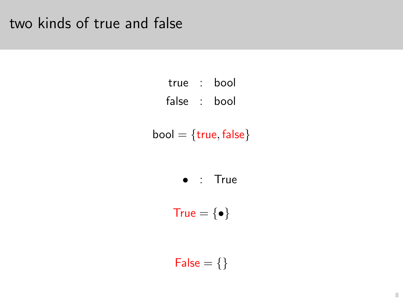#### two kinds of true and false

| true  | bool |
|-------|------|
| false | bool |

 $bool = {true, false}$ 

• : True

True =  $\{ \bullet \}$ 

<span id="page-7-0"></span> $False = \{\}$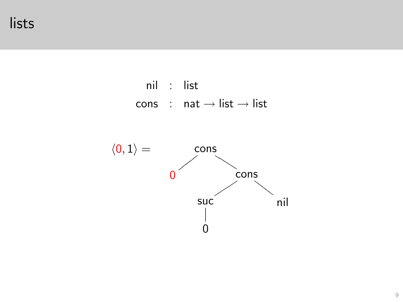#### lists



<span id="page-8-0"></span>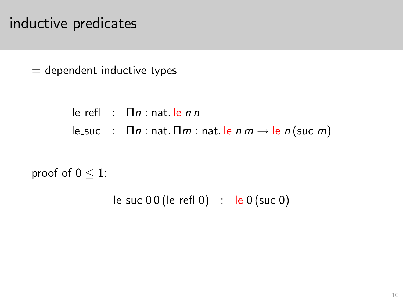#### inductive predicates

 $=$  dependent inductive types

 $\mathsf{I}$  e\_refl :  $\mathsf{\Pi}$  n : nat. le n n le\_suc :  $\Box n$  : nat.  $\Box m$  : nat. le  $n \rightarrow \Box e$  n (suc m)

<span id="page-9-0"></span>proof of  $0 \leq 1$ :

 $le\_suc 00 (le\_refl 0)$  :  $le 0 (suc 0)$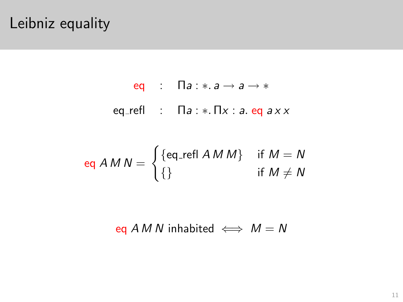#### Leibniz equality

eq :  $\Box a : * a \rightarrow a \rightarrow *$ eq\_refl :  $\prod a : * \prod x : a$ . eq  $a x x$ 

$$
eq AMN = \begin{cases} \{eq\_refl \text{ } AMM\} & \text{ if } M = N \\ \{\} & \text{ if } M \neq N \end{cases}
$$

<span id="page-10-0"></span>eq A M N inhabited  $\iff M = N$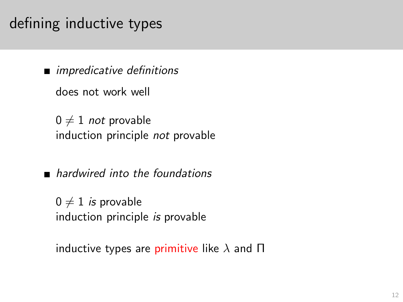### defining inductive types

**n** impredicative definitions

does not work well

 $0 \neq 1$  not provable induction principle not provable

**n** hardwired into the foundations

 $0 \neq 1$  is provable induction principle is provable

<span id="page-11-0"></span>inductive types are primitive like  $\lambda$  and  $\Pi$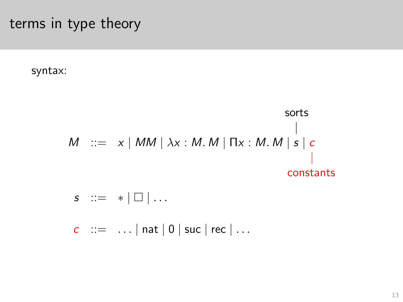terms in type theory

syntax:

$$
M ::= x | MM | \lambda x : M.M | \Pi x : M.M | s | c
$$
\n
$$
Sorts |
$$
\n
$$
|
$$
\n
$$
Sorts |
$$
\n
$$
|
$$
\n
$$
Sorts |
$$
\n
$$
Sorts |
$$
\n
$$
Sorts |
$$
\n
$$
Surs
$$

 $s$  ::=  $*$  |  $\Box$  | ...

<span id="page-12-0"></span> $c$  ::= ... | nat | 0 | suc | rec | ...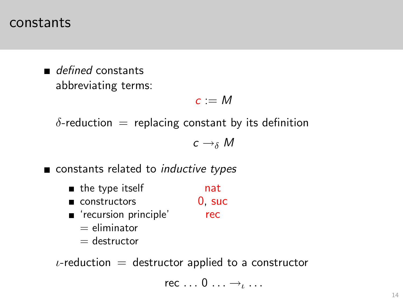#### constants

defined constants abbreviating terms:

$$
c:=M
$$

 $\delta$ -reduction = replacing constant by its definition

$$
c \to_\delta M
$$

constants related to *inductive types* 

- the type itself nat
- constructors 0, suc
- **E** 'recursion principle' rec  $=$  eliminator
	- $=$  destructor

<span id="page-13-0"></span> $\iota$ -reduction = destructor applied to a constructor

rec  $\dots 0 \dots \rightarrow \ldots$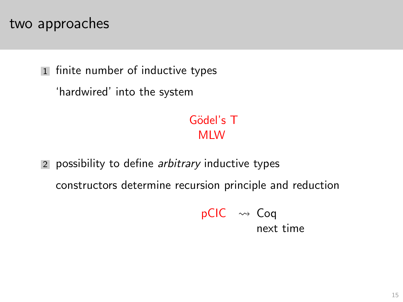#### two approaches

1 finite number of inductive types

'hardwired' into the system

Gödel's T MLW

<span id="page-14-0"></span>2 possibility to define *arbitrary* inductive types constructors determine recursion principle and reduction

> $pCIC \rightsquigarrow Coq$ next time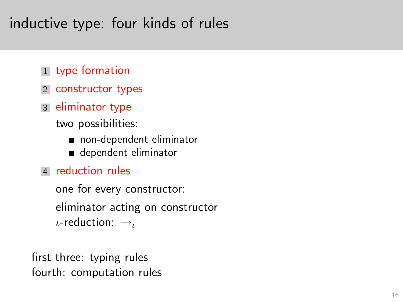### inductive type: four kinds of rules

- 1 type formation
- 2 constructor types
- 3 eliminator type

two possibilities:

- non-dependent eliminator
- dependent eliminator
- 4 reduction rules

one for every constructor: eliminator acting on constructor  $\iota$ -reduction:  $\rightarrow$ 

<span id="page-15-0"></span>first three: typing rules fourth: computation rules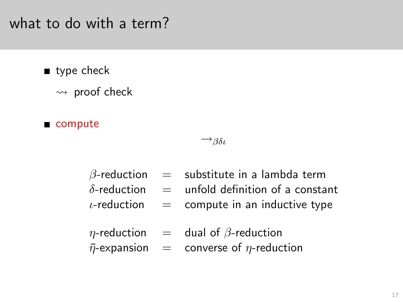#### what to do with a term?

- utype check
	- $\rightsquigarrow$  proof check
- compute

#### $\rightarrow$ βδι

- $\beta$ -reduction = substitute in a lambda term
- $\delta$ -reduction = unfold definition of a constant
- $\iota$ -reduction = compute in an inductive type
- $\eta$ -reduction = dual of  $\beta$ -reduction
- <span id="page-16-0"></span> $\bar{\eta}$ -expansion = converse of  $\eta$ -reduction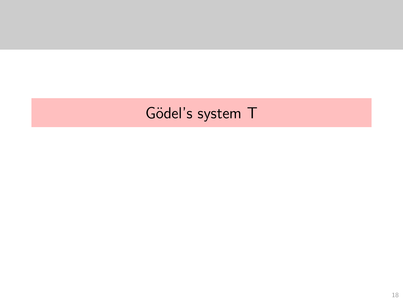# <span id="page-17-0"></span>Gödel's system T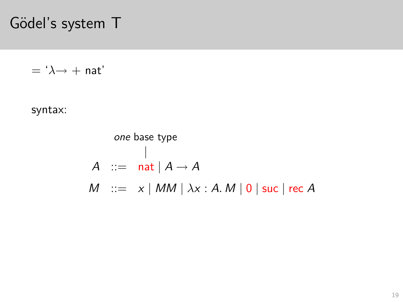Gödel's system T

 $=$  ' $\lambda \rightarrow +$  nat'

<span id="page-18-0"></span>syntax:

one base type  
\n
$$
\begin{array}{rcl}\n| & & \\
A & ::= & \mathsf{nat} \mid A \to A \\
M & ::= & x \mid MM \mid \lambda x : A.M \mid 0 \mid \mathsf{succ} \mid \mathsf{rec}\ A\n\end{array}
$$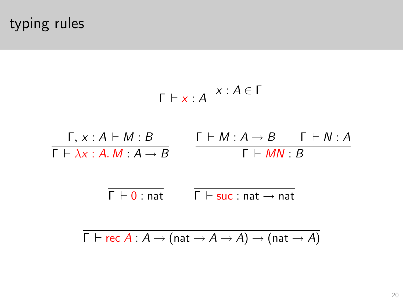typing rules

<span id="page-19-0"></span>
$$
\begin{array}{c}\n\overline{\Gamma \vdash x : A} & x : A \in \Gamma \\
\hline\n\Gamma \vdash \lambda x : A \vdash M : B & \Gamma \vdash M : A \rightarrow B & \Gamma \vdash N : A \\
\hline\n\Gamma \vdash \lambda x : A.M : A \rightarrow B & \Gamma \vdash mN : B\n\end{array}
$$
\n
$$
\begin{array}{c}\n\overline{\Gamma \vdash 0 : nat} & \overline{\Gamma \vdash suc :nat \rightarrow nat} \\
\hline\n\overline{\Gamma \vdash rec A : A \rightarrow (nat \rightarrow A \rightarrow A) \rightarrow (nat \rightarrow A)}\n\end{array}
$$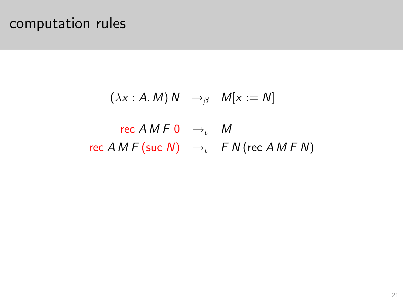#### computation rules

$$
(\lambda x : A.M) N \rightarrow_{\beta} M[x := N]
$$

#### <span id="page-20-0"></span>rec  $AMF$  0  $\rightarrow_{\iota}$  M rec  $AMF$  (suc N)  $\rightarrow$ <sub>ι</sub>  $FN$  (rec  $AMFN$ )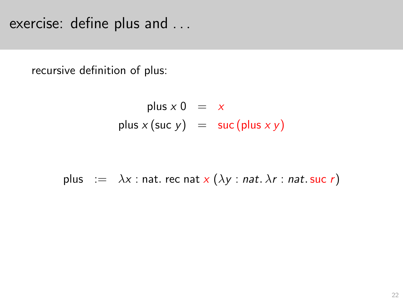exercise: define plus and . . .

recursive definition of plus:

plus 
$$
x 0 = x
$$
  
plus  $x$  (suc  $y$ ) = suc (plus  $x y$ )

<span id="page-21-0"></span>plus := 
$$
\lambda x
$$
 : nat. rec nat  $x (\lambda y : nat. \lambda r : nat. \text{ succ } r)$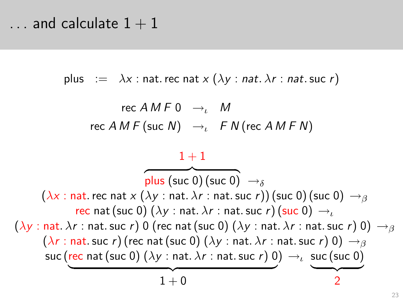$\ldots$  and calculate  $1 + 1$ 

plus :=  $\lambda x$  : nat. rec nat  $x (\lambda y : nat. \lambda r : nat. \text{ succ } r)$ 

$$
\begin{array}{rcl}\n\text{rec } A \, M \, F \, 0 & \rightarrow_{\iota} & M \\
\text{rec } A \, M \, F \, (\text{suc } N) & \rightarrow_{\iota} & F \, N \, (\text{rec } A \, M \, F \, N)\n\end{array}
$$

<span id="page-22-0"></span>
$$
\frac{1+1}{\text{plus (suc 0) (suc 0)}} \rightarrow_{\delta}
$$
\n
$$
(\lambda x : \text{nat. rec nat } \times (\lambda y : \text{nat. } \lambda r : \text{nat. suc } r)) (\text{suc 0) (suc 0)} \rightarrow_{\beta}
$$
\n
$$
(\lambda y : \text{nat. } \lambda r : \text{nat. sur } r) \cdot (suc 0) \rightarrow_{\ell}
$$
\n
$$
(\lambda y : \text{nat. } \lambda r : \text{nat. suc } r) \cdot 0 (\text{rec nat (suc 0) } (\lambda y : \text{nat. } \lambda r : \text{nat. suc } r) \cdot 0) \rightarrow_{\beta}
$$
\n
$$
(\lambda r : \text{nat. suc } r) (\text{rec nat (suc 0) } (\lambda y : \text{nat. } \lambda r : \text{nat. suc } r) \cdot 0) \rightarrow_{\beta}
$$
\n
$$
\text{succ (rec nat (suc 0) } (\lambda y : \text{nat. } \lambda r : \text{nat. suc } r) \cdot 0) \rightarrow_{\ell} \text{succ (suc 0)}
$$
\n
$$
1+0
$$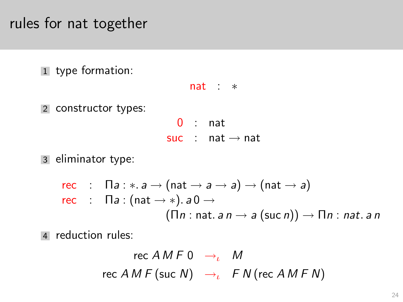#### rules for nat together

1 type formation:

2 constructor types:

nat : ∗  $0$  : nat

suc : nat  $\rightarrow$  nat

3 eliminator type:

\n
$$
\text{rec} : \Pi a : * a \to (\text{nat} \to a \to a) \to (\text{nat} \to a)
$$
\n

\n\n $\text{rec} : \Pi a : (\text{nat} \to *) . a \cdot 0 \to (\Pi n : \text{nat} . a \cdot n \to a (\text{succ} n)) \to \Pi n : \text{nat} . a \cdot n$ \n

<span id="page-23-0"></span>4 reduction rules:

\n
$$
\text{rec}\ A\ M\ F\ 0 \rightarrow_{\iota} \quad M
$$
\n

\n\n $\text{rec}\ A\ M\ F\ (\text{succ}\ N) \rightarrow_{\iota} \quad F\ N\ (\text{rec}\ A\ M\ F\ N)$ \n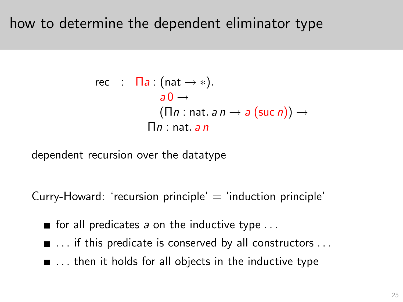#### how to determine the dependent eliminator type

rec : 
$$
\Pi a : (\text{nat} \rightarrow *)
$$
.

\n $a0 \rightarrow (\Pi n : \text{nat. } a \, n \rightarrow a \, (\text{succ } n)) \rightarrow \Pi n : \text{nat. } a \, n$ 

dependent recursion over the datatype

Curry-Howard: 'recursion principle'  $=$  'induction principle'

- for all predicates a on the inductive type  $\dots$
- $\blacksquare$  ... if this predicate is conserved by all constructors ...
- <span id="page-24-0"></span> $\blacksquare$ ... then it holds for all objects in the inductive type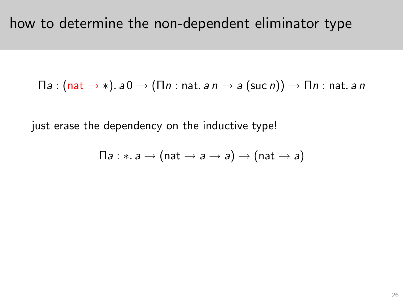$$
\Pi a: (\mathsf{nat} \to \ast). a0 \to (\Pi n: \mathsf{nat}. a n \to a (\mathsf{suc} \, n)) \to \Pi n: \mathsf{nat}. a \, n
$$

<span id="page-25-0"></span>just erase the dependency on the inductive type!

$$
\Pi a: \ast. a \rightarrow (nat \rightarrow a \rightarrow a) \rightarrow (nat \rightarrow a)
$$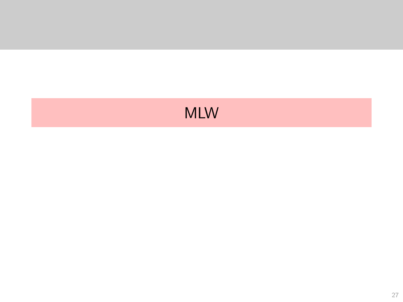# <span id="page-26-0"></span>**MLW**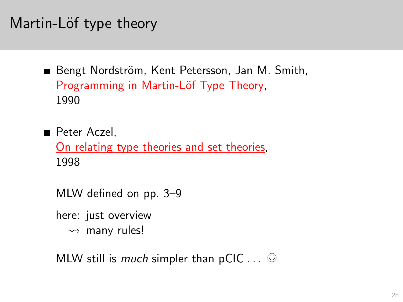## Martin-Löf type theory

- Bengt Nordström, Kent Petersson, Jan M. Smith, Programming in Martin-Löf Type Theory, 1990
- **Peter Aczel.** [On relating type theories and set theories,](http://www.cs.ru.nl/~freek/courses/lambda-2012/ts-st.pdf) 1998
	- MLW defined on pp. 3–9
	- here: just overview
		- $\rightsquigarrow$  many rules!

<span id="page-27-0"></span>MLW still is much simpler than  $pClC \ldots \; \odot$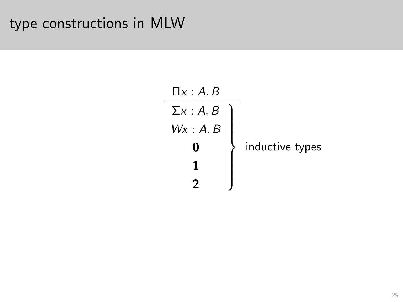#### <span id="page-28-0"></span>type constructions in MLW

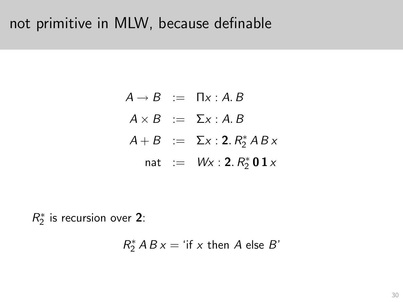#### not primitive in MLW, because definable

 $A \rightarrow B$  :=  $\Pi x : A \cdot B$  $A \times B \cong \Sigma x : A, B$  $A + B$  :=  $\Sigma x : 2. R_2^* AB x$ nat :=  $Wx : 2. R_2^* 0 1 x$ 

<span id="page-29-0"></span> $R_2^*$  $2^{*}_{2}$  is recursion over 2:

$$
R_2^* AB x = 'if x then A else B'
$$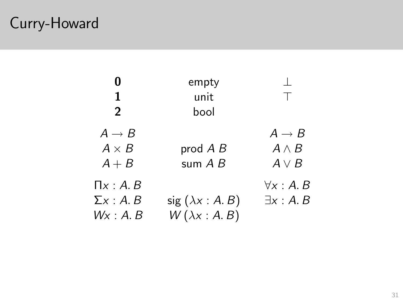# Curry-Howard

<span id="page-30-0"></span>

|                   | empty                         |                   |
|-------------------|-------------------------------|-------------------|
| 1                 | unit                          | $\mathbf{L}$      |
| $\overline{2}$    | hool                          |                   |
| $A \rightarrow B$ |                               | $A \rightarrow B$ |
| $A \times B$      | prod $A B$                    | $A \wedge B$      |
| $A + B$           | sum $A$ $B$                   | $A \vee B$        |
| $\Pi x:A,B$       |                               | $\forall x:A.B$   |
| $\Sigma x:A.B$    | sig $(\lambda x : A \cdot B)$ | $\exists x:A.B$   |
| Wx : A. B         | $W(\lambda x:A.B)$            |                   |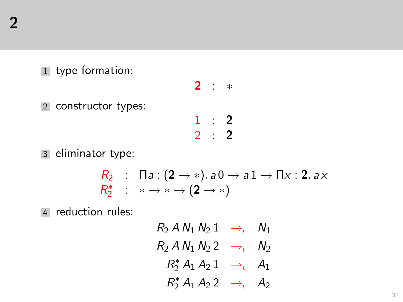1 type formation:

2 constructor types:

$$
\begin{array}{ccccc}\n2 & : & * \\
1 & : & 2 \\
2 & : & 2\n\end{array}
$$

3 eliminator type:

$$
\begin{array}{l} R_2 \ : \ \Pi a: (2 \rightarrow *) .\ a \, 0 \rightarrow a \, 1 \rightarrow \Pi x: 2.\ a \, x \\ R_2^* \ : \ * \rightarrow * \rightarrow (2 \rightarrow *) \end{array}
$$

<span id="page-31-0"></span>4 reduction rules:

 $R_2 A N_1 N_2 1 \rightarrow \iota N_1$  $R_2$  A N<sub>1</sub> N<sub>2</sub>  $\rightarrow$ <sub>ι</sub> N<sub>2</sub>  $R_2^* A_1 A_2 1 \rightarrow \iota A_1$  $R_2^* A_1 A_2 2 \rightarrow \iota A_2$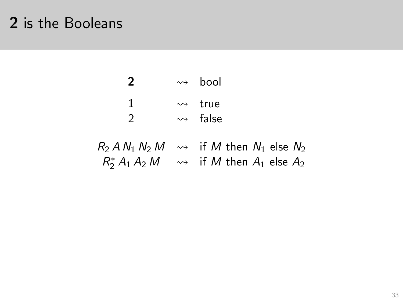### 2 is the Booleans

<span id="page-32-0"></span>

|        | $\rightsquigarrow$ hool                                                                                                                                                 |
|--------|-------------------------------------------------------------------------------------------------------------------------------------------------------------------------|
| ı<br>2 | $\rightarrow$ true<br>$\rightsquigarrow$ false                                                                                                                          |
|        | $R_2$ A N <sub>1</sub> N <sub>2</sub> M $\rightsquigarrow$ if M then N <sub>1</sub> else N <sub>2</sub><br>$R_2^* A_1 A_2 M \longrightarrow$ if M then $A_1$ else $A_2$ |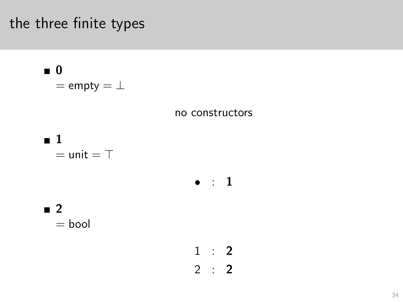### the three finite types

<span id="page-33-0"></span>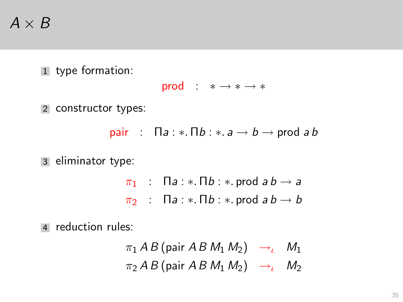# $A \times B$

1 type formation:

$$
\text{prod} \quad : \quad * \longrightarrow * \longrightarrow *
$$

2 constructor types:

pair :  $\Box a : * \Box b : * \Box a \rightarrow b \rightarrow \Box$ 

3 eliminator type:

 $\pi_1$  : Πa : \*. Πb : \*. prod a b  $\rightarrow$  a  $\pi_2$  :  $\Box a : * \Box b : *$  prod  $ab \rightarrow b$ 

<span id="page-34-0"></span>4 reduction rules:

$$
\pi_1 AB \text{ (pair } AB \text{ } M_1 \text{ } M_2) \rightarrow_{\iota} M_1
$$
\n
$$
\pi_2 AB \text{ (pair } AB \text{ } M_1 \text{ } M_2) \rightarrow_{\iota} M_2
$$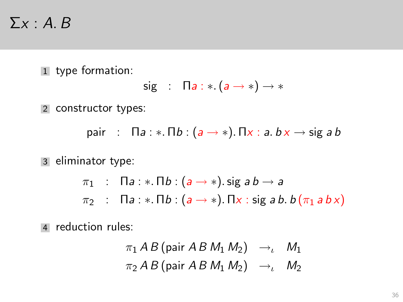#### $\Sigma x : A, B$

1 type formation:

$$
sig : \Pi a : *.(a \rightarrow *) \rightarrow *
$$

2 constructor types:

pair :  $\Box a : * \Box b : (a \rightarrow *)$ .  $\Box x : a.b \times \rightarrow$  sig a b

3 eliminator type:

 $\pi_1$  :  $\Box a$  : \*.  $\Box b$  :  $(a \rightarrow *)$ . sig  $ab \rightarrow a$  $\pi_2$  :  $\Box a$  : \*.  $\Box b$  :  $(a \rightarrow *)$ .  $\Box x$  : sig a b.  $b(\pi_1 abx)$ 

<span id="page-35-0"></span>4 reduction rules:

$$
\pi_1 AB \text{ (pair } AB \text{ } M_1 \text{ } M_2 \text{)} \rightarrow \text{ } M_1
$$
\n
$$
\pi_2 AB \text{ (pair } AB \text{ } M_1 \text{ } M_2 \text{)} \rightarrow \text{ } M_2
$$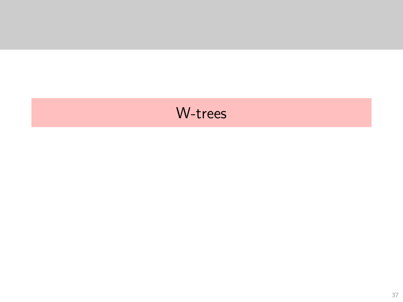### <span id="page-36-0"></span>W-trees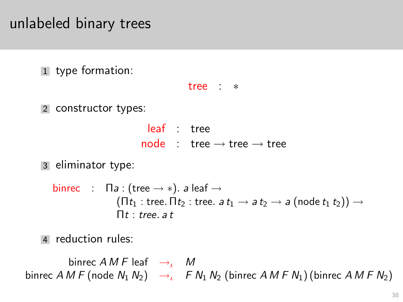### unlabeled binary trees

1 type formation:

```
tree : ∗
```
2 constructor types:

```
leaf : tree
node \t\t the \rightarrow tree \rightarrow tree
```
3 eliminator type:

```
binrec : \Pi a : (tree \rightarrow *). a leaf \rightarrow(\Pi t_1 : \text{tree. } \Pi t_2 : \text{tree. } a t_1 \rightarrow a t_2 \rightarrow a \text{ (node } t_1 t_2)) \rightarrow\Pi t : tree, a t
```
4 reduction rules:

<span id="page-37-0"></span>binrec  $AMF$  leaf  $\rightarrow$ <sub>ι</sub> M binrec A M F (node  $N_1 N_2$ )  $\rightarrow$  F  $N_1 N_2$  (binrec A M F  $N_1$ ) (binrec A M F  $N_2$ )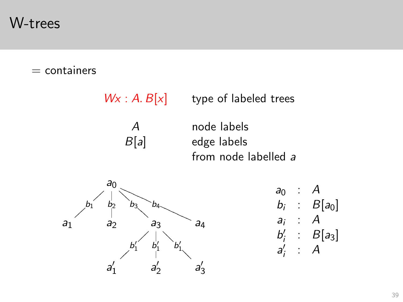W-trees

#### $=$  containers

 $Wx : A. B[x]$  type of labeled trees

A node labels B[a] edge labels from node labelled a

<span id="page-38-0"></span>

$$
a_0 : A \n b_i : B[a_0] \n a_i : A \n b'_i : B[a_3] \n a'_i : A
$$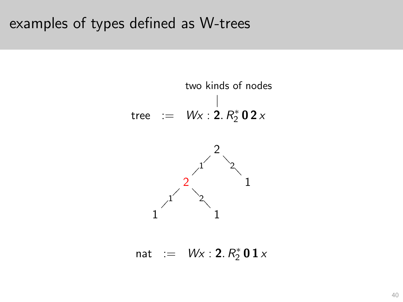#### examples of types defined as W-trees



<span id="page-39-0"></span>nat :=  $Wx : 2. R_2^* 0 1 x$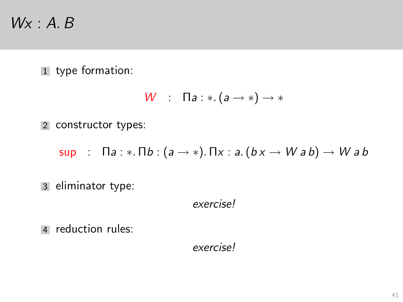### $Wx : A, B$

1 type formation:

$$
W \quad : \quad \Pi a : * \colon (a \to *) \to *
$$

2 constructor types:

sup :  $\Box a : * \Box b : (a \rightarrow *)$ .  $\Box x : a.(bx \rightarrow Wab) \rightarrow Wab$ 

3 eliminator type:

exercise!

<span id="page-40-0"></span>4 reduction rules:

exercise!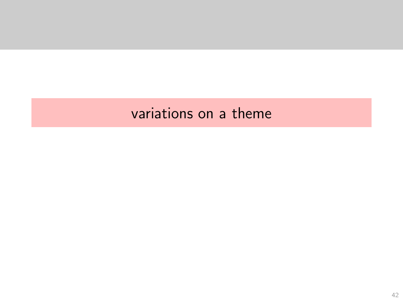#### <span id="page-41-0"></span>variations on a theme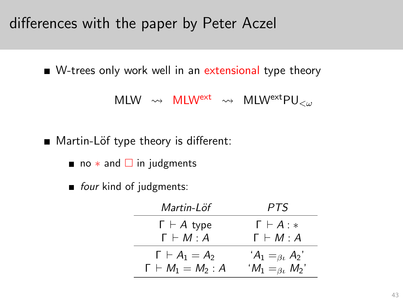differences with the paper by Peter Aczel

■ W-trees only work well in an extensional type theory

MLW  $\rightsquigarrow$  MLW<sup>ext</sup>  $\rightsquigarrow$  MLW<sup>ext</sup>PU<sub><ω</sub>

■ Martin-Löf type theory is different:

- no  $*$  and  $\square$  in judgments
- <span id="page-42-0"></span>four kind of judgments:

| Martin-Löf                    | PTS.                          |
|-------------------------------|-------------------------------|
| $\Gamma \vdash A$ type        | $\Gamma \vdash A : *$         |
| $\Gamma \vdash M : A$         | $\Gamma \vdash M : A$         |
| $\Gamma \vdash A_1 = A_2$     | $A_1 = \beta_k A_2$           |
| $\Gamma \vdash M_1 = M_2 : A$ | $^{'}M_1 =_{\beta\iota} M_2'$ |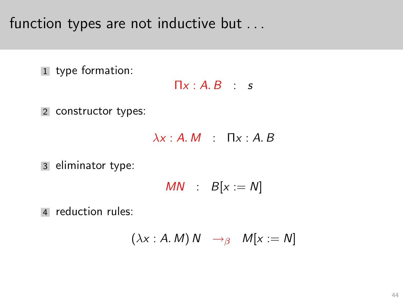function types are not inductive but ...

1 type formation:

 $\Pi x : A, B \cdot s$ 

2 constructor types:

 $\lambda x : A.M$   $\Pi x : A.B$ 

3 eliminator type:

$$
MN \ : \ B[x := N]
$$

<span id="page-43-0"></span>4 reduction rules:

$$
(\lambda x : A.M) N \rightarrow_{\beta} M[x := N]
$$